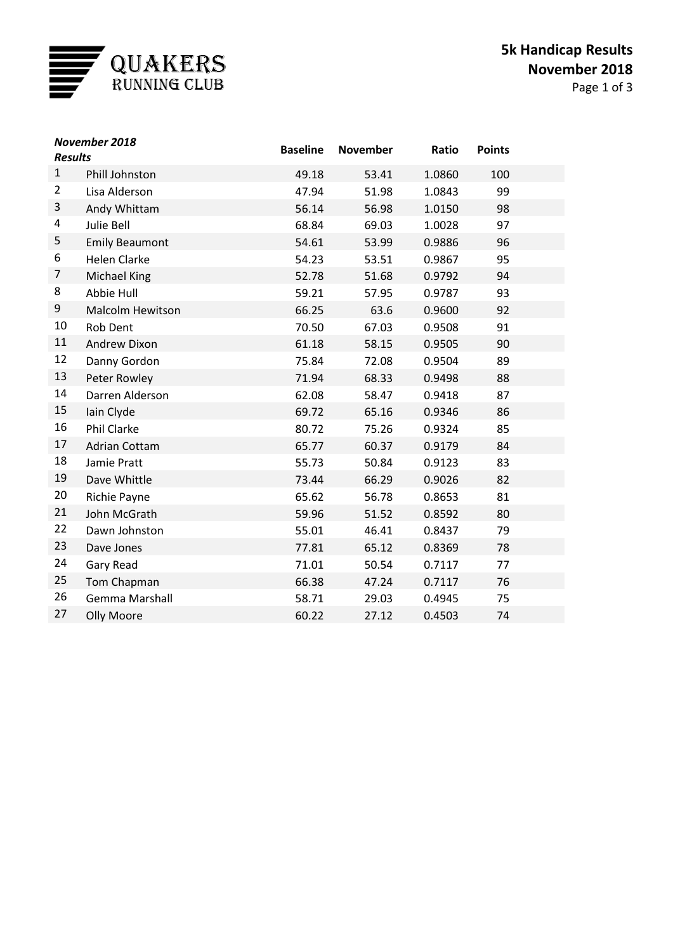

| November 2018<br><b>Results</b> |                         | <b>Baseline</b> | <b>November</b> | Ratio  | <b>Points</b> |  |
|---------------------------------|-------------------------|-----------------|-----------------|--------|---------------|--|
| $\mathbf{1}$                    | Phill Johnston          | 49.18           | 53.41           | 1.0860 | 100           |  |
| $\overline{2}$                  | Lisa Alderson           | 47.94           | 51.98           | 1.0843 | 99            |  |
| 3                               | Andy Whittam            | 56.14           | 56.98           | 1.0150 | 98            |  |
| 4                               | Julie Bell              | 68.84           | 69.03           | 1.0028 | 97            |  |
| 5                               | <b>Emily Beaumont</b>   | 54.61           | 53.99           | 0.9886 | 96            |  |
| 6                               | <b>Helen Clarke</b>     | 54.23           | 53.51           | 0.9867 | 95            |  |
| 7                               | <b>Michael King</b>     | 52.78           | 51.68           | 0.9792 | 94            |  |
| 8                               | Abbie Hull              | 59.21           | 57.95           | 0.9787 | 93            |  |
| 9                               | <b>Malcolm Hewitson</b> | 66.25           | 63.6            | 0.9600 | 92            |  |
| $10\,$                          | Rob Dent                | 70.50           | 67.03           | 0.9508 | 91            |  |
| 11                              | Andrew Dixon            | 61.18           | 58.15           | 0.9505 | 90            |  |
| 12                              | Danny Gordon            | 75.84           | 72.08           | 0.9504 | 89            |  |
| 13                              | Peter Rowley            | 71.94           | 68.33           | 0.9498 | 88            |  |
| 14                              | Darren Alderson         | 62.08           | 58.47           | 0.9418 | 87            |  |
| 15                              | Iain Clyde              | 69.72           | 65.16           | 0.9346 | 86            |  |
| 16                              | <b>Phil Clarke</b>      | 80.72           | 75.26           | 0.9324 | 85            |  |
| 17                              | <b>Adrian Cottam</b>    | 65.77           | 60.37           | 0.9179 | 84            |  |
| 18                              | Jamie Pratt             | 55.73           | 50.84           | 0.9123 | 83            |  |
| 19                              | Dave Whittle            | 73.44           | 66.29           | 0.9026 | 82            |  |
| 20                              | <b>Richie Payne</b>     | 65.62           | 56.78           | 0.8653 | 81            |  |
| 21                              | John McGrath            | 59.96           | 51.52           | 0.8592 | 80            |  |
| 22                              | Dawn Johnston           | 55.01           | 46.41           | 0.8437 | 79            |  |
| 23                              | Dave Jones              | 77.81           | 65.12           | 0.8369 | 78            |  |
| 24                              | Gary Read               | 71.01           | 50.54           | 0.7117 | 77            |  |
| 25                              | Tom Chapman             | 66.38           | 47.24           | 0.7117 | 76            |  |
| 26                              | Gemma Marshall          | 58.71           | 29.03           | 0.4945 | 75            |  |
| 27                              | Olly Moore              | 60.22           | 27.12           | 0.4503 | 74            |  |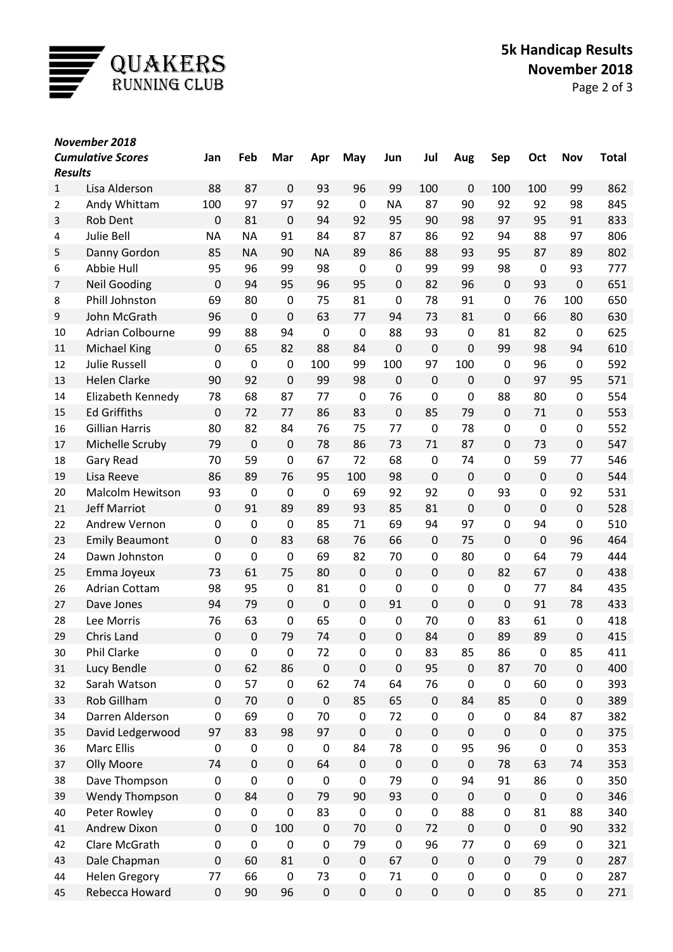

| November 2018  |                          |             |                  |             |             |                  |             |                  |                  |             |             |                  |              |
|----------------|--------------------------|-------------|------------------|-------------|-------------|------------------|-------------|------------------|------------------|-------------|-------------|------------------|--------------|
| <b>Results</b> | <b>Cumulative Scores</b> | Jan         | Feb              | Mar         | Apr         | May              | Jun         | Jul              | Aug              | Sep         | Oct         | Nov              | <b>Total</b> |
| $\mathbf{1}$   | Lisa Alderson            | 88          | 87               | $\mathbf 0$ | 93          | 96               | 99          | 100              | $\mathbf 0$      | 100         | 100         | 99               | 862          |
| $\overline{2}$ | Andy Whittam             | 100         | 97               | 97          | 92          | 0                | <b>NA</b>   | 87               | 90               | 92          | 92          | 98               | 845          |
| 3              | Rob Dent                 | 0           | 81               | $\mathbf 0$ | 94          | 92               | 95          | 90               | 98               | 97          | 95          | 91               | 833          |
| 4              | <b>Julie Bell</b>        | <b>NA</b>   | <b>NA</b>        | 91          | 84          | 87               | 87          | 86               | 92               | 94          | 88          | 97               | 806          |
| 5              | Danny Gordon             | 85          | <b>NA</b>        | 90          | <b>NA</b>   | 89               | 86          | 88               | 93               | 95          | 87          | 89               | 802          |
| 6              | Abbie Hull               | 95          | 96               | 99          | 98          | $\mathbf 0$      | $\mathbf 0$ | 99               | 99               | 98          | $\mathbf 0$ | 93               | 777          |
| 7              | <b>Neil Gooding</b>      | $\mathbf 0$ | 94               | 95          | 96          | 95               | $\mathbf 0$ | 82               | 96               | $\mathbf 0$ | 93          | $\boldsymbol{0}$ | 651          |
| 8              | <b>Phill Johnston</b>    | 69          | 80               | 0           | 75          | 81               | $\mathbf 0$ | 78               | 91               | $\pmb{0}$   | 76          | 100              | 650          |
| 9              | John McGrath             | 96          | $\boldsymbol{0}$ | $\mathbf 0$ | 63          | 77               | 94          | 73               | 81               | $\mathbf 0$ | 66          | 80               | 630          |
| 10             | Adrian Colbourne         | 99          | 88               | 94          | $\mathbf 0$ | $\mathbf 0$      | 88          | 93               | 0                | 81          | 82          | $\mathbf 0$      | 625          |
| 11             | <b>Michael King</b>      | $\mathbf 0$ | 65               | 82          | 88          | 84               | $\mathbf 0$ | $\mathbf 0$      | $\mathbf 0$      | 99          | 98          | 94               | 610          |
| 12             | <b>Julie Russell</b>     | 0           | 0                | $\pmb{0}$   | 100         | 99               | 100         | 97               | 100              | $\mathbf 0$ | 96          | $\boldsymbol{0}$ | 592          |
| 13             | <b>Helen Clarke</b>      | 90          | 92               | $\mathbf 0$ | 99          | 98               | 0           | $\mathbf 0$      | $\mathbf 0$      | 0           | 97          | 95               | 571          |
| 14             | Elizabeth Kennedy        | 78          | 68               | 87          | 77          | 0                | 76          | $\mathbf 0$      | $\pmb{0}$        | 88          | 80          | 0                | 554          |
| 15             | <b>Ed Griffiths</b>      | $\mathbf 0$ | 72               | 77          | 86          | 83               | $\pmb{0}$   | 85               | 79               | $\mathbf 0$ | 71          | 0                | 553          |
| 16             | <b>Gillian Harris</b>    | 80          | 82               | 84          | 76          | 75               | 77          | $\mathbf 0$      | 78               | $\mathbf 0$ | $\mathbf 0$ | 0                | 552          |
| 17             | Michelle Scruby          | 79          | 0                | $\mathbf 0$ | 78          | 86               | 73          | 71               | 87               | $\mathbf 0$ | 73          | 0                | 547          |
| 18             | Gary Read                | 70          | 59               | 0           | 67          | 72               | 68          | $\mathbf 0$      | 74               | $\pmb{0}$   | 59          | 77               | 546          |
| 19             | Lisa Reeve               | 86          | 89               | 76          | 95          | 100              | 98          | $\mathbf 0$      | $\boldsymbol{0}$ | $\mathbf 0$ | $\mathbf 0$ | $\pmb{0}$        | 544          |
| 20             | <b>Malcolm Hewitson</b>  | 93          | 0                | $\mathbf 0$ | $\mathbf 0$ | 69               | 92          | 92               | $\mathbf 0$      | 93          | $\mathbf 0$ | 92               | 531          |
| 21             | <b>Jeff Marriot</b>      | 0           | 91               | 89          | 89          | 93               | 85          | 81               | $\mathbf 0$      | $\mathbf 0$ | $\mathbf 0$ | $\boldsymbol{0}$ | 528          |
| 22             | Andrew Vernon            | 0           | 0                | 0           | 85          | 71               | 69          | 94               | 97               | $\mathbf 0$ | 94          | 0                | 510          |
| 23             | <b>Emily Beaumont</b>    | $\mathbf 0$ | $\pmb{0}$        | 83          | 68          | 76               | 66          | $\mathbf 0$      | 75               | $\mathbf 0$ | $\mathbf 0$ | 96               | 464          |
| 24             | Dawn Johnston            | 0           | 0                | 0           | 69          | 82               | 70          | $\mathbf 0$      | 80               | 0           | 64          | 79               | 444          |
| 25             | Emma Joyeux              | 73          | 61               | 75          | 80          | $\mathbf 0$      | $\pmb{0}$   | $\mathbf 0$      | $\pmb{0}$        | 82          | 67          | $\pmb{0}$        | 438          |
| 26             | <b>Adrian Cottam</b>     | 98          | 95               | $\pmb{0}$   | 81          | $\mathbf 0$      | $\mathbf 0$ | $\mathbf 0$      | $\pmb{0}$        | $\pmb{0}$   | 77          | 84               | 435          |
| 27             | Dave Jones               | 94          | 79               | 0           | $\mathbf 0$ | $\mathbf 0$      | 91          | $\mathbf 0$      | $\pmb{0}$        | 0           | 91          | 78               | 433          |
| 28             | Lee Morris               | 76          | 63               | 0           | 65          | 0                | 0           | 70               | 0                | 83          | 61          | 0                | 418          |
| 29             | Chris Land               | 0           | 0                | 79          | 74          | 0                | 0           | 84               | $\Omega$         | 89          | 89          | 0                | 415          |
| 30             | Phil Clarke              | 0           | 0                | 0           | 72          | $\mathbf 0$      | $\pmb{0}$   | 83               | 85               | 86          | $\pmb{0}$   | 85               | 411          |
| 31             | Lucy Bendle              | $\pmb{0}$   | 62               | 86          | $\mathsf 0$ | $\mathbf 0$      | $\pmb{0}$   | 95               | $\pmb{0}$        | 87          | 70          | $\pmb{0}$        | 400          |
| 32             | Sarah Watson             | $\pmb{0}$   | 57               | $\pmb{0}$   | 62          | 74               | 64          | 76               | $\pmb{0}$        | $\pmb{0}$   | 60          | 0                | 393          |
| 33             | Rob Gillham              | $\pmb{0}$   | 70               | $\pmb{0}$   | $\mathbf 0$ | 85               | 65          | $\boldsymbol{0}$ | 84               | 85          | $\pmb{0}$   | 0                | 389          |
| 34             | Darren Alderson          | $\pmb{0}$   | 69               | 0           | 70          | $\pmb{0}$        | 72          | $\pmb{0}$        | $\pmb{0}$        | $\pmb{0}$   | 84          | 87               | 382          |
| 35             | David Ledgerwood         | 97          | 83               | 98          | 97          | $\boldsymbol{0}$ | $\pmb{0}$   | $\mathbf 0$      | $\pmb{0}$        | $\mathbf 0$ | $\mathbf 0$ | $\pmb{0}$        | 375          |
| 36             | Marc Ellis               | $\pmb{0}$   | 0                | $\pmb{0}$   | $\mathsf 0$ | 84               | 78          | $\pmb{0}$        | 95               | 96          | $\pmb{0}$   | 0                | 353          |
| 37             | <b>Olly Moore</b>        | 74          | $\pmb{0}$        | $\pmb{0}$   | 64          | $\pmb{0}$        | $\pmb{0}$   | $\pmb{0}$        | $\pmb{0}$        | 78          | 63          | 74               | 353          |
| 38             | Dave Thompson            | 0           | $\pmb{0}$        | 0           | $\mathbf 0$ | 0                | 79          | $\mathbf 0$      | 94               | 91          | 86          | 0                | 350          |
| 39             | Wendy Thompson           | $\pmb{0}$   | 84               | $\pmb{0}$   | 79          | 90               | 93          | $\pmb{0}$        | $\pmb{0}$        | $\pmb{0}$   | $\pmb{0}$   | $\pmb{0}$        | 346          |
| 40             | Peter Rowley             | 0           | $\pmb{0}$        | 0           | 83          | $\pmb{0}$        | $\pmb{0}$   | $\mathbf 0$      | 88               | $\pmb{0}$   | 81          | 88               | 340          |
| 41             | Andrew Dixon             | 0           | $\pmb{0}$        | 100         | $\mathbf 0$ | 70               | $\pmb{0}$   | 72               | $\pmb{0}$        | $\mathbf 0$ | $\mathbf 0$ | 90               | 332          |
| 42             | Clare McGrath            | 0           | 0                | $\pmb{0}$   | $\mathbf 0$ | 79               | $\pmb{0}$   | 96               | 77               | $\pmb{0}$   | 69          | 0                | 321          |
| 43             | Dale Chapman             | $\pmb{0}$   | 60               | 81          | $\mathbf 0$ | $\pmb{0}$        | 67          | $\boldsymbol{0}$ | $\pmb{0}$        | $\mathbf 0$ | 79          | $\pmb{0}$        | 287          |
| 44             | <b>Helen Gregory</b>     | 77          | 66               | 0           | 73          | $\pmb{0}$        | 71          | $\pmb{0}$        | 0                | $\pmb{0}$   | $\pmb{0}$   | 0                | 287          |
| 45             | Rebecca Howard           | $\pmb{0}$   | 90               | 96          | $\mathsf 0$ | $\pmb{0}$        | $\pmb{0}$   | $\pmb{0}$        | $\pmb{0}$        | $\pmb{0}$   | 85          | $\pmb{0}$        | 271          |